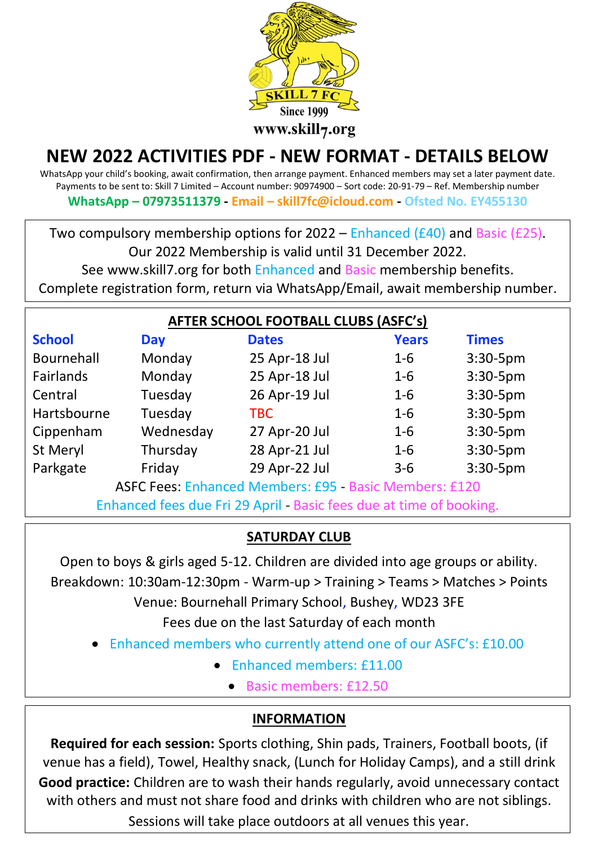

# **NEW 2022 ACTIVITIES PDF - NEW FORMAT - DETAILS BELOW**

WhatsApp your child's booking, await confirmation, then arrange payment. Enhanced members may set a later payment date. Payments to be sent to: Skill 7 Limited – Account number: 90974900 – Sort code: 20-91-79 – Ref. Membership number **WhatsApp – 07973511379 - Email – skill7fc@icloud.com - Ofsted No. EY455130**

Two compulsory membership options for 2022 – Enhanced (£40) and Basic (£25).

Our 2022 Membership is valid until 31 December 2022.

See www.skill7.org for both Enhanced and Basic membership benefits.

Complete registration form, return via WhatsApp/Email, await membership number.

| <b>AFTER SCHOOL FOOTBALL CLUBS (ASFC's)</b>                         |            |               |              |              |
|---------------------------------------------------------------------|------------|---------------|--------------|--------------|
| <b>School</b>                                                       | <b>Day</b> | <b>Dates</b>  | <b>Years</b> | <b>Times</b> |
| Bournehall                                                          | Monday     | 25 Apr-18 Jul | $1 - 6$      | $3:30-5$ pm  |
| Fairlands                                                           | Monday     | 25 Apr-18 Jul | $1-6$        | $3:30-5$ pm  |
| Central                                                             | Tuesday    | 26 Apr-19 Jul | $1-6$        | $3:30-5$ pm  |
| Hartsbourne                                                         | Tuesday    | <b>TBC</b>    | $1-6$        | $3:30-5$ pm  |
| Cippenham                                                           | Wednesday  | 27 Apr-20 Jul | $1-6$        | $3:30-5$ pm  |
| St Meryl                                                            | Thursday   | 28 Apr-21 Jul | $1-6$        | $3:30-5$ pm  |
| Parkgate                                                            | Friday     | 29 Apr-22 Jul | $3 - 6$      | 3:30-5pm     |
| ASFC Fees: Enhanced Members: £95 - Basic Members: £120              |            |               |              |              |
| Enhanced fees due Fri 29 April - Basic fees due at time of booking. |            |               |              |              |

## **SATURDAY CLUB**

Open to boys & girls aged 5-12. Children are divided into age groups or ability. Breakdown: 10:30am-12:30pm - Warm-up > Training > Teams > Matches > Points Venue: Bournehall Primary School, Bushey, WD23 3FE Fees due on the last Saturday of each month

- Enhanced members who currently attend one of our ASFC's: £10.00
	- **Enhanced members: £11.00** 
		- Basic members: £12.50

## **INFORMATION**

**Required for each session:** Sports clothing, Shin pads, Trainers, Football boots, (if venue has a field), Towel, Healthy snack, (Lunch for Holiday Camps), and a still drink **Good practice:** Children are to wash their hands regularly, avoid unnecessary contact with others and must not share food and drinks with children who are not siblings.

Sessions will take place outdoors at all venues this year.